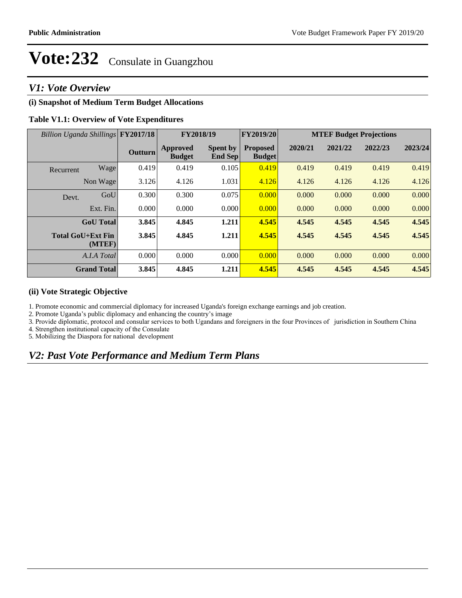### *V1: Vote Overview*

### **(i) Snapshot of Medium Term Budget Allocations**

#### **Table V1.1: Overview of Vote Expenditures**

| Billion Uganda Shillings FY2017/18 |                                    |                | FY2018/19                        |                                   | FY2019/20                        | <b>MTEF Budget Projections</b> |         |         |         |  |
|------------------------------------|------------------------------------|----------------|----------------------------------|-----------------------------------|----------------------------------|--------------------------------|---------|---------|---------|--|
|                                    |                                    | <b>Outturn</b> | <b>Approved</b><br><b>Budget</b> | <b>Spent by</b><br><b>End Sep</b> | <b>Proposed</b><br><b>Budget</b> | 2020/21                        | 2021/22 | 2022/23 | 2023/24 |  |
| Recurrent                          | Wage                               | 0.419          | 0.419                            | 0.105                             | 0.419                            | 0.419                          | 0.419   | 0.419   | 0.419   |  |
|                                    | Non Wage                           | 3.126          | 4.126                            | 1.031                             | 4.126                            | 4.126                          | 4.126   | 4.126   | 4.126   |  |
| Devt.                              | GoU                                | 0.300          | 0.300                            | 0.075                             | 0.000                            | 0.000                          | 0.000   | 0.000   | 0.000   |  |
|                                    | Ext. Fin.                          | 0.000          | 0.000                            | 0.000                             | 0.000                            | 0.000                          | 0.000   | 0.000   | 0.000   |  |
|                                    | <b>GoU</b> Total                   | 3.845          | 4.845                            | 1.211                             | 4.545                            | 4.545                          | 4.545   | 4.545   | 4.545   |  |
|                                    | <b>Total GoU+Ext Fin</b><br>(MTEF) | 3.845          | 4.845                            | 1.211                             | 4.545                            | 4.545                          | 4.545   | 4.545   | 4.545   |  |
|                                    | A.I.A Total                        | 0.000          | 0.000                            | 0.000                             | 0.000                            | 0.000                          | 0.000   | 0.000   | 0.000   |  |
|                                    | <b>Grand Total</b>                 | 3.845          | 4.845                            | 1.211                             | 4.545                            | 4.545                          | 4.545   | 4.545   | 4.545   |  |

#### **(ii) Vote Strategic Objective**

1. Promote economic and commercial diplomacy for increased Uganda's foreign exchange earnings and job creation.

2. Promote Uganda's public diplomacy and enhancing the country's image

3. Provide diplomatic, protocol and consular services to both Ugandans and foreigners in the four Provinces of jurisdiction in Southern China

4. Strengthen institutional capacity of the Consulate

5. Mobilizing the Diaspora for national development

# *V2: Past Vote Performance and Medium Term Plans*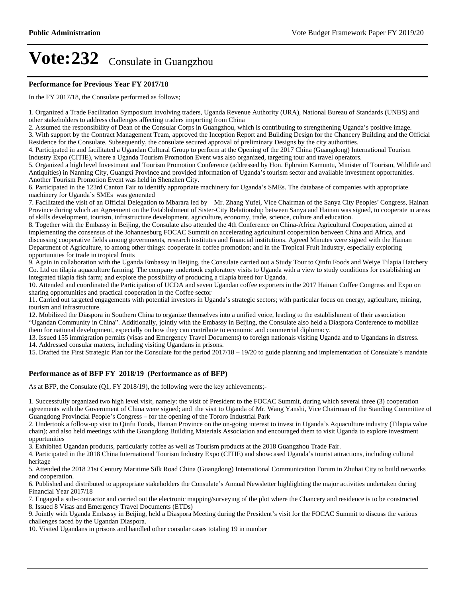#### **Performance for Previous Year FY 2017/18**

In the FY 2017/18, the Consulate performed as follows;

1. Organized a Trade Facilitation Symposium involving traders, Uganda Revenue Authority (URA), National Bureau of Standards (UNBS) and other stakeholders to address challenges affecting traders importing from China

2. Assumed the responsibility of Dean of the Consular Corps in Guangzhou, which is contributing to strengthening Uganda's positive image.

3. With support by the Contract Management Team, approved the Inception Report and Building Design for the Chancery Building and the Official Residence for the Consulate. Subsequently, the consulate secured approval of preliminary Designs by the city authorities.

4. Participated in and facilitated a Ugandan Cultural Group to perform at the Opening of the 2017 China (Guangdong) International Tourism Industry Expo (CITIE), where a Uganda Tourism Promotion Event was also organized, targeting tour and travel operators.

5. Organized a high level Investment and Tourism Promotion Conference (addressed by Hon. Ephraim Kamuntu, Minister of Tourism, Wildlife and Antiquities) in Nanning City, Guangxi Province and provided information of Uganda's tourism sector and available investment opportunities. Another Tourism Promotion Event was held in Shenzhen City.

6. Participated in the 123rd Canton Fair to identify appropriate machinery for Uganda's SMEs. The database of companies with appropriate machinery for Uganda's SMEs was generated

7. Facilitated the visit of an Official Delegation to Mbarara led by Mr. Zhang Yufei, Vice Chairman of the Sanya City Peoples' Congress, Hainan Province during which an Agreement on the Establishment of Sister-City Relationship between Sanya and Hainan was signed, to cooperate in areas of skills development, tourism, infrastructure development, agriculture, economy, trade, science, culture and education.

8. Together with the Embassy in Beijing, the Consulate also attended the 4th Conference on China-Africa Agricultural Cooperation, aimed at implementing the consensus of the Johannesburg FOCAC Summit on accelerating agricultural cooperation between China and Africa, and discussing cooperative fields among governments, research institutes and financial institutions. Agreed Minutes were signed with the Hainan Department of Agriculture, to among other things: cooperate in coffee promotion; and in the Tropical Fruit Industry, especially exploring opportunities for trade in tropical fruits

9. Again in collaboration with the Uganda Embassy in Beijing, the Consulate carried out a Study Tour to Qinfu Foods and Weiye Tilapia Hatchery Co. Ltd on tilapia aquaculture farming. The company undertook exploratory visits to Uganda with a view to study conditions for establishing an integrated tilapia fish farm; and explore the possibility of producing a tilapia breed for Uganda.

10. Attended and coordinated the Participation of UCDA and seven Ugandan coffee exporters in the 2017 Hainan Coffee Congress and Expo on sharing opportunities and practical cooperation in the Coffee sector

11. Carried out targeted engagements with potential investors in Uganda's strategic sectors; with particular focus on energy, agriculture, mining, tourism and infrastructure.

12. Mobilized the Diaspora in Southern China to organize themselves into a unified voice, leading to the establishment of their association "Ugandan Community in China". Additionally, jointly with the Embassy in Beijing, the Consulate also held a Diaspora Conference to mobilize them for national development, especially on how they can contribute to economic and commercial diplomacy.

13. Issued 155 immigration permits (visas and Emergency Travel Documents) to foreign nationals visiting Uganda and to Ugandans in distress.

14. Addressed consular matters, including visiting Ugandans in prisons.

15. Drafted the First Strategic Plan for the Consulate for the period 2017/18 – 19/20 to guide planning and implementation of Consulate's mandate

#### **Performance as of BFP FY 2018/19 (Performance as of BFP)**

As at BFP, the Consulate (Q1, FY 2018/19), the following were the key achievements;-

1. Successfully organized two high level visit, namely: the visit of President to the FOCAC Summit, during which several three (3) cooperation agreements with the Government of China were signed; and the visit to Uganda of Mr. Wang Yanshi, Vice Chairman of the Standing Committee of Guangdong Provincial People's Congress – for the opening of the Tororo Industrial Park

2. Undertook a follow-up visit to Qinfu Foods, Hainan Province on the on-going interest to invest in Uganda's Aquaculture industry (Tilapia value chain); and also held meetings with the Guangdong Building Materials Association and encouraged them to visit Uganda to explore investment opportunities

3. Exhibited Ugandan products, particularly coffee as well as Tourism products at the 2018 Guangzhou Trade Fair.

4. Participated in the 2018 China International Tourism Industry Expo (CITIE) and showcased Uganda's tourist attractions, including cultural heritage

5. Attended the 2018 21st Century Maritime Silk Road China (Guangdong) International Communication Forum in Zhuhai City to build networks and cooperation.

6. Published and distributed to appropriate stakeholders the Consulate's Annual Newsletter highlighting the major activities undertaken during Financial Year 2017/18

7. Engaged a sub-contractor and carried out the electronic mapping/surveying of the plot where the Chancery and residence is to be constructed 8. Issued 8 Visas and Emergency Travel Documents (ETDs)

9. Jointly with Uganda Embassy in Beijing, held a Diaspora Meeting during the President's visit for the FOCAC Summit to discuss the various challenges faced by the Ugandan Diaspora.

10. Visited Ugandans in prisons and handled other consular cases totaling 19 in number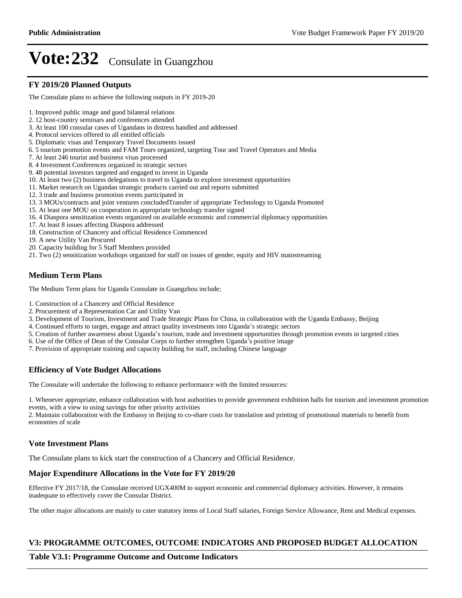### **FY 2019/20 Planned Outputs**

The Consulate plans to achieve the following outputs in FY 2019-20

- 1. Improved public image and good bilateral relations
- 2. 12 host-country seminars and conferences attended
- 3. At least 100 consular cases of Ugandans in distress handled and addressed
- 4. Protocol services offered to all entitled officials
- 5. Diplomatic visas and Temporary Travel Documents issued
- 6. 5 tourism promotion events and FAM Tours organized, targeting Tour and Travel Operators and Media
- 7. At least 246 tourist and business visas processed
- 8. 4 Investment Conferences organized in strategic sectors
- 9. 48 potential investors targeted and engaged to invest in Uganda
- 10. At least two (2) business delegations to travel to Uganda to explore investment opportunities
- 11. Market research on Ugandan strategic products carried out and reports submitted
- 12. 3 trade and business promotion events participated in
- 13. 3 MOUs/contracts and joint ventures concludedTransfer of appropriate Technology to Uganda Promoted
- 15. At least one MOU on cooperation in appropriate technology transfer signed
- 16. 4 Diaspora sensitization events organized on available economic and commercial diplomacy opportunities
- 17. At least 8 issues affecting Diaspora addressed
- 18. Construction of Chancery and official Residence Commenced
- 19. A new Utility Van Procured
- 20. Capacity building for 5 Staff Members provided
- 21. Two (2) sensitization workshops organized for staff on issues of gender, equity and HIV mainstreaming

# **Medium Term Plans**

The Medium Term plans for Uganda Consulate in Guangzhou include;

- 1. Construction of a Chancery and Official Residence
- 2. Procurement of a Representation Car and Utility Van
- 3. Development of Tourism, Investment and Trade Strategic Plans for China, in collaboration with the Uganda Embassy, Beijing
- 4. Continued efforts to target, engage and attract quality investments into Uganda's strategic sectors
- 5. Creation of further awareness about Uganda's tourism, trade and investment opportunities through promotion events in targeted cities
- 6. Use of the Office of Dean of the Consular Corps to further strengthen Uganda's positive image
- 7. Provision of appropriate training and capacity building for staff, including Chinese language

# **Efficiency of Vote Budget Allocations**

The Consulate will undertake the following to enhance performance with the limited resources:

1. Whenever appropriate, enhance collaboration with host authorities to provide government exhibition halls for tourism and investment promotion events, with a view to using savings for other priority activities

2. Maintain collaboration with the Embassy in Beijing to co-share costs for translation and printing of promotional materials to benefit from economies of scale

# **Vote Investment Plans**

The Consulate plans to kick start the construction of a Chancery and Official Residence.

# **Major Expenditure Allocations in the Vote for FY 2019/20**

Effective FY 2017/18, the Consulate received UGX400M to support economic and commercial diplomacy activities. However, it remains inadequate to effectively cover the Consular District.

The other major allocations are mainly to cater statutory items of Local Staff salaries, Foreign Service Allowance, Rent and Medical expenses.

# **V3: PROGRAMME OUTCOMES, OUTCOME INDICATORS AND PROPOSED BUDGET ALLOCATION**

### **Table V3.1: Programme Outcome and Outcome Indicators**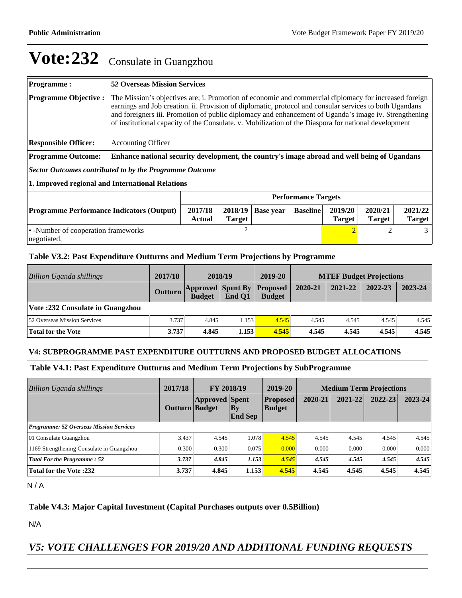#### **Programme : 52 Overseas Mission Services Programme Objective :** The Mission's objectives are; i. Promotion of economic and commercial diplomacy for increased foreign earnings and Job creation. ii. Provision of diplomatic, protocol and consular services to both Ugandans and foreigners iii. Promotion of public diplomacy and enhancement of Uganda's image iv. Strengthening of institutional capacity of the Consulate. v. Mobilization of the Diaspora for national development **Responsible Officer:** Accounting Officer **Programme Outcome: Enhance national security development, the country's image abroad and well being of Ugandans** *Sector Outcomes contributed to by the Programme Outcome* **1. Improved regional and International Relations Performance Targets Programme Performance Indicators (Output) 2017/18 Actual 2018/19 Target Base year Baseline 2019/20 Target 2020/21 Target 2021/22 Target**  -Number of cooperation frameworks negotiated, 2 2 3

#### **Table V3.2: Past Expenditure Outturns and Medium Term Projections by Programme**

| Billion Uganda shillings            | 2017/18        | 2018/19                                   |        | 2019-20                          | <b>MTEF Budget Projections</b> |         |         |         |
|-------------------------------------|----------------|-------------------------------------------|--------|----------------------------------|--------------------------------|---------|---------|---------|
|                                     | <b>Outturn</b> | <b>Approved Spent By</b><br><b>Budget</b> | End O1 | <b>Proposed</b><br><b>Budget</b> | 2020-21                        | 2021-22 | 2022-23 | 2023-24 |
| Vote: 232 Consulate in Guangzhou    |                |                                           |        |                                  |                                |         |         |         |
| <b>52 Overseas Mission Services</b> | 3.737          | 4.845                                     | 1.153  | 4.545                            | 4.545                          | 4.545   | 4.545   | 4.545   |
| Total for the Vote                  | 3.737          | 4.845                                     | 1.153  | 4.545                            | 4.545                          | 4.545   | 4.545   | 4.545   |

#### **V4: SUBPROGRAMME PAST EXPENDITURE OUTTURNS AND PROPOSED BUDGET ALLOCATIONS**

#### **Table V4.1: Past Expenditure Outturns and Medium Term Projections by SubProgramme**

| 2017/18<br><b>Billion Uganda shillings</b>     |                       | <b>FY 2018/19</b>     |                             | 2019-20                          | <b>Medium Term Projections</b> |         |         |             |
|------------------------------------------------|-----------------------|-----------------------|-----------------------------|----------------------------------|--------------------------------|---------|---------|-------------|
|                                                | <b>Outturn Budget</b> | <b>Approved Spent</b> | <b>By</b><br><b>End Sep</b> | <b>Proposed</b><br><b>Budget</b> | 2020-21                        | 2021-22 | 2022-23 | $2023 - 24$ |
| <b>Programme: 52 Overseas Mission Services</b> |                       |                       |                             |                                  |                                |         |         |             |
| 01 Consulate Guangzhou                         | 3.437                 | 4.545                 | 1.078                       | 4.545                            | 4.545                          | 4.545   | 4.545   | 4.545       |
| 1169 Strengthening Consulate in Guangzhou      | 0.300                 | 0.300                 | 0.075                       | 0.000                            | 0.000                          | 0.000   | 0.000   | 0.000       |
| <b>Total For the Programme: 52</b>             | 3.737                 | 4.845                 | 1.153                       | 4.545                            | 4.545                          | 4.545   | 4.545   | 4.545       |
| <b>Total for the Vote:232</b>                  | 3.737                 | 4.845                 | 1.153                       | 4.545                            | 4.545                          | 4.545   | 4.545   | 4.545       |

 $N/A$ 

#### **Table V4.3: Major Capital Investment (Capital Purchases outputs over 0.5Billion)**

N/A

# *V5: VOTE CHALLENGES FOR 2019/20 AND ADDITIONAL FUNDING REQUESTS*